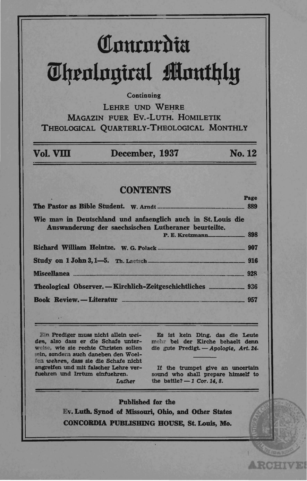# Comcordia **Theological Monthly**

#### Continuing

LEHRE UND WEHRE **MAGAZIN FUER EV.-LUTH, HOMILETIK** THEOLOGICAL OUARTERLY-THEOLOGICAL MONTHLY

| Vol. VIII | December, 1937 | <b>No. 12</b> |
|-----------|----------------|---------------|
|           |                |               |

#### **CONTENTS**

Page The Pastor as Bible Student. W. Arndt 889 Wie man in Deutschland und anfaenglich auch in St. Louis die Auswanderung der saechsischen Lutheraner beurteilte. 898 P. E. Kretzmann Richard William Heintze. W. G. Polack 907 Study on 1 John 3, 1-5. Th. Laetsch 916 Miscellanea. 928 Book Review. - Literatur  $-957$ 

Ein Prediger muss nicht allein weiden, also dass er die Schafe unterwelse, wie sie rechte Christen sollen sein, sondern auch daneben den Woelfen wehren, dass sie die Schafe nicht angreifen und mit falscher Lehre verfuehren und Irrtum einfuehren.

 $I<sub>at</sub>$ thor

Es ist kein Ding, das die Leute mehr bei der Kirche behaelt denn die gute Predigt. - Apologie, Art. 24.

If the trumpet give an uncertain sound who shall prepare himself to the battle?  $-1$  Cor. 14, 8.

**ARCHIVE** 

**Published for the** Ev. Luth. Synod of Missouri. Ohio. and Other States CONCORDIA PUBLISHING HOUSE, St. Louis, Mo.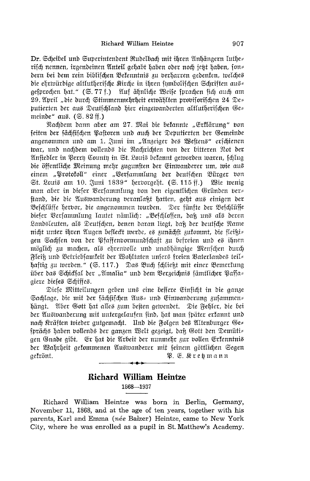Dr. Scheibel und Superintendent Rudelbach mit ihren Anhängern luthes rifch nennen, irgendeinen Anteil gehabt haben oder noch jetzt haben, fon= dern bei dem rein biblifchen Befenntnis zu berharren gedenfen, welches die ehrwürdige altlutherifche Kirche in ihren fumbolifchen Schriften aus= 29. April "die durch Stimmenmehrheit erwählten probisorischen 24 De= putierten der aus Deutschland hier eingewanderten altlutherischen Ge= meinde" aus. (S. 82 ff.)

Nachdem dann aber am 27. Mai die bekannte "Erklärung" von feiten der fächfifchen Paftoren und auch der Deputierten der Gemeinde angenommen und am 1. Juni im "Anzeiger des Weftens" erschienen war, und nachdem vollends die Nachrichten von der bitteren Not der Ansiedler in Perrh Counth in St. Louis bekannt geworden waren, schlug die öffentliche Meinung mehr zugunsten der Einwanderer um, wie aus einem "Protofoll" einer "Berfammlung der deutfchen Bürger von St. Louis am 10. Juni 1839" herborgeht. (S. 115 ff.) Wie wenig man aber in diefer Verfammlung von den eigentlichen Gründen ber= stand, die die Auswanderung veranlaßt hatten, geht aus einigen der Beschlüsse herbor, die angenommen wurden. Der fünfte der Beschlüsse dieser Versammlung lautet nämlich: "Beschlossen, daß uns als deren Landsleuten, als Deutschen, denen daran liegt, daß der deutsche Name nicht unter ihren Augen beflect werde, es zunächst zukommt, die fleißi= gen Sachsen von der Pfaffenbormundschaft zu befreien und es ihnen möglich zu machen, als ehrenvolle und unabhängige Menschen durch Fleiß und Betriebsamkeit der Wohltaten unsers freien Vaterlandes teil= haftig zu werden." (S. 117.) Das Buch schließt mit einer Bemerkung über das Schickfal der "Amalia" und dem Verzeichnis fämtlicher Paffa= giere dieses Schiffes.

Diese Mitteilungen geben uns eine bessere Einsicht in die ganze Sachlage, die mit der sächfischen Aus= und Einwanderung zusammen= hängt. Aber Gott hat alles zum besten gewendet. Die Fehler, die bei der Auswanderung mit untergelaufen sind, hat man später erkannt und nach Kräften wieder gutgemacht. Und die Folgen des Altenburger Ge= fprächs haben bollends der ganzen Welt gezeigt, daß Gott den Demüti= gen Gnade gibt. Er hat die Arbeit der nunmehr zur vollen Erkenntnis der Wahrheit gekommenen Auswanderer mit seinem göttlichen Segen aefrönt. B. E. Kresmann

## Richard William Heintze

1868-1937

Richard William Heintze was born in Berlin, Germany, November 11, 1868, and at the age of ten years, together with his parents, Karl and Emma (née Balzer) Heintze, came to New York City, where he was enrolled as a pupil in St. Matthew's Academy.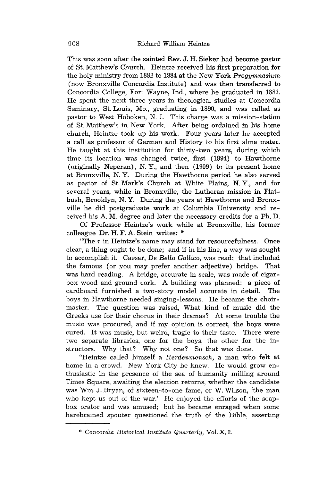This was soon after the sainted Rev. J. H. Sieker had become pastor of St. Matthew's Church. Heintze received his first preparation for the holy ministry from 1882 to 1884 at the New York *Progymnasium* (now Bronxville Concordia Institute) and was then transferred to Concordia College, Fort Wayne, Ind., where he graduated in 1887. He spent the next three years in theological studies at Concordia Seminary, St. Louis, Mo., graduating in 1890, and was called as pastor to West Hoboken, N. J. This charge was a mission-station of St. Matthew's in New York. After being ordained in his home church, Heintze took up his work. Four years later he accepted a call as professor of German and History to his first alma mater. He taught at this institution for thirty-two years, during which time its location was changed twice, first (1894) to Hawthorne (originally Neperan), N. Y., and then (1909) to its present home at Bronxville, N. Y. During the Hawthorne period he also served as pastor of St. Mark's Church at White Plains, N. Y., and for several years, while in Bronxville, the Lutheran mission in Flatbush, Brooklyn, N. Y. During the years at Hawthorne and Bronxville he did postgraduate work at Columbia University and received his A. M. degree and later the necessary credits for a Ph. D.

Of Professor Heintze's work while at Bronxville, his former colleague Dr. H. F. A. Stein writes: \*

"The *r* in Heintze's name may stand for resourcefulness. Once clear, a thing ought to be done; and if in his line, a way was sought to accomplish it. Caesar, De *Bello Gallico,* was read; that included the famous (or you may prefer another adjective) bridge. That was hard reading. A bridge, accurate in scale, was made of cigarbox wood and ground cork. A building was planned: a piece of cardboard furnished a two-story model accurate in detail. The boys in Hawthorne needed singing-lessons. He became the choirmaster. The question was raised, What kind of music did the Greeks use for their chorus in their dramas? At some trouble the music was procured, and if my opinion is correct, the boys were cured. It was music, but weird, tragic to their taste. There were two separate libraries, one for the boys, the other for the instructors. Why that? Why not one? So that was done.

"Heintze called himself a *Herdenmensch,* a man who felt at home in a crowd. New York City he knew. He would grow enthusiastic in the presence of the sea of humanity milling around Times Square, awaiting the election returns, whether the candidate was Wm. J. Bryan, of sixteen-to-one fame, or W. Wilson, 'the man who kept us out of the war.' He enjoyed the efforts of the soapbox orator and was amused; but he became enraged when some harebrained spouter questioned the truth of the Bible, asserting

<sup>\*</sup> *Concordia Historical Institute Quarterly,* Vol. X, 2.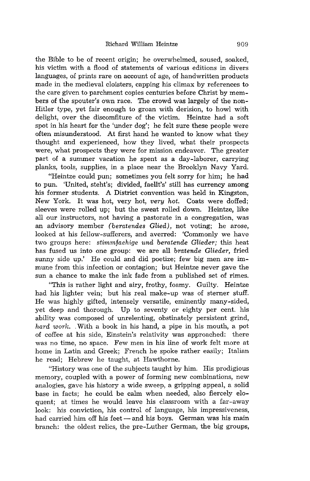the Bible to be of recent origin; he overwhelmed, soused, soaked, his victim with a flood of statements of various editions in divers languages, of prints rare on account of age, of handwritten products made in the medieval cloisters, capping his climax by references to the care given to parchment copies centuries before Christ by members of the spouter's own race. The crowd was largely of the non-Hitler type, yet fair enough to groan with derision, to howl with delight, over the discomfiture of the victim. Heintze had a soft spot in his heart for the 'under dog'; he felt sure these people were often misunderstood. At first hand he wanted to know what they thought and experienced, how they lived, what their prospects were, what prospects they were for mission endeavor. The greater part of a summer vacation he spent as a day-laborer, carrying planks, tools, supplies, in a place near the Brooklyn Navy Yard.

"Heintze could pun; sometimes you felt sorry for him; he had to pun. 'United, steht's; divided, faellt's' still has currency among his former students. A District convention was held in Kingston, New York. It was hot, very hot, *very hot.* Coats were doffed; sleeves were rolled up; but the sweat rolled down. Heintze, like all our instructors, not having a pastorate in a congregation, was an advisory member *(beratendes Glied),* not voting; he arose, looked at his fellow-sufferers, and averred: 'Commonly we have two groups here: *stimmfaehige und beratende Glieder;* this heat has fused us into one group: we are all *bratende Glieder,* fried sunny side up.' He could and did poetize; few big men are immune from this infection or contagion; but Heintze never gave the sun a chance to make the ink fade from a published set of rimes.

"This is rather light and airy, frothy, foamy. Guilty. Heintze had his lighter vein; but his real make-up was of sterner stuff. He was highly gifted, intensely versatile, eminently many-sided, yet deep and thorough. Up to seventy or eighty per cent. his ability was composed of unrelenting, obstinately persistent grind, *hard work.* . With a book in his hand, a pipe in his mouth, a pot of coffee at his side, Einstein's relativity was approached: there was no time, no space. Few men in his line of work felt more at home in Latin and Greek; French he spoke rather easily; Italian he read; Hebrew he taught, at Hawthorne.

"History was one of the subjects taught by him. His prodigious memory, coupled with a power of forming new combinations, new analogies, gave his history a wide sweep, a gripping appeal, a solid base in facts; he could be calm when needed, also fiercely eloquent; at times he would leave his classroom with a far-away look: his conviction, his control of language, his impressiveness, had carried him off his feet - and his boys. German was his main branch: the oldest relics, the pre-Luther German, the big groups,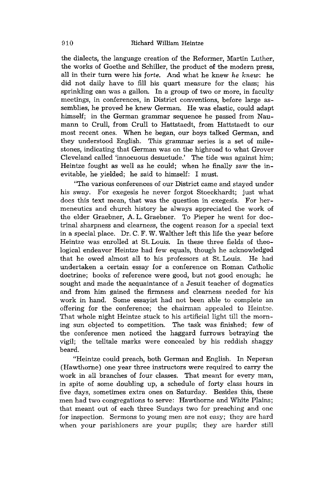the dialects, the language creation of the Reformer, Martin Luther, the works of Goethe and Schiller, the product of the modern press, all in their turn were his *forte.* And what he knew *he knew:* he did not daily have to fill his quart measure for the class; his sprinkling can was a gallon. In a group of two or more, in faculty meetings, in conferences, in District conventions, before large assemblies, he proved he knew German. He was elastic, could adapt himself; in the German grammar sequence he passed from Naumann to Crull, from Crull to Hattstaedt, from Hattstaedt to our most recent ones. When he began, our boys talked German, and they understood English. This grammar series is a set of milestones, indicating that German was on the highroad to what Grover Cleveland called 'innocuous desuetude.' The tide was against him; Heintze fought as well as he could; when he finally saw the inevitable, he yielded; he said to himself: I must.

"The various conferences of our District came and stayed under his sway. For exegesis he never forgot Stoeckhardt; just what does this text mean, that was the question in exegesis. For hermeneutics and church history he always appreciated the work of the elder Graebner, A. L. Graebner. To Pieper he went for doctrinal sharpness and clearness, the cogent reason for a special text in a special place. Dr. C. F. W. Walther left this life the year before Heintze was enrolled at St. Louis. In these three fields of theological endeavor Heintze had few equals, though he acknowledged that he owed almost all to his professors at St. Louis. He had undertaken a certain essay for a conference on Roman Catholic doctrine; books of reference were good, but not good enough; he sought and made the acquaintance of a Jesuit teacher of dogmatics and from him gained the firmness and clearness needed for his work in hand. Some essayist had not been able to complete an offering for the conference; the chairman appealed to Heintze. That whole night Heintze stuck to his artificial light till the morning sun objected to competition. The task was finished; few of the conference men noticed the haggard furrows betraying the vigil; the telltale marks were concealed by his reddish shaggy beard.

"Heintze could preach, both German and English. In Neperan (Hawthorne) one year three instructors were required to carry the work in all branches of four classes. That meant for every man, in spite of some doubling up, a schedule of forty class hours in five days, sometimes extra ones on Saturday. Besides this, these men had two congregations to serve: Hawthorne and White Plains; that meant out of each three Sundays two for preaching and one for inspection. Sermons to young men are not easy; they are hard when your parishioners are your pupils; they are harder still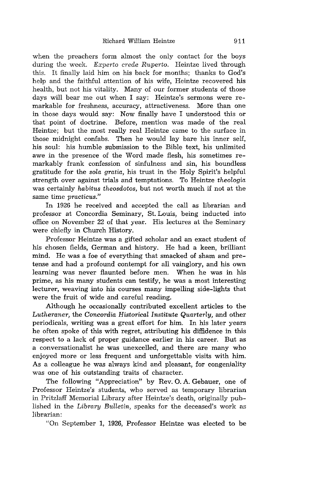when the preachers form almost the only contact for the boys during the week. *Experto crede Ruperto.* Heintze lived through this. It finally laid him on his back for months; thanks to God's help and the faithful attention of his wife, Heintze recovered his health, but not his vitality. Many of our former students of those days will bear me out when I say: Heintze's sermons were remarkable for freshness, accuracy, attractiveness. More than one in those days would say: Now finally have I understood this or that point of doctrine. Before, mention was made of the real Heintze; but the most really real Heintze came to the surface in those midnight confabs. Then he would lay bare his inner self, his soul: his humble submission to the Bible text, his unlimited awe in the presence of the Word made flesh, his sometimes remarkably frank confession of sinfulness and sin, his boundless gratitude for the *sola gratia,* his trust in the Holy Spirit's helpful strength over against trials and temptations. To Heintze *theologia*  was certainly *habitus theosdotos,* but not worth much if not at the same time *practicus."* 

In 1926 he received and accepted the call as librarian and professor at Concordia Seminary, St. Louis, being inducted into office on November 22 of that year. His lectures at the Seminary were chiefly in Church History.

Professor Heintze was a gifted scholar and an exact student of his chosen fields, German and history. He had a keen, brilliant mind. He was a foe of everything that smacked of sham and pretense and had a profound contempt for all vainglory, and his own learning was never flaunted before men. When he was in his prime, as his many students can testify, he was a most interesting lecturer, weaving into his courses many impelling side-lights that were the fruit of wide and careful reading.

Although he occasionally contributed excellent articles to the *Lutheraner,* the *Concordia Historical Institute Quarterly,* and other periodicals, writing was a great effort for him. In his later years he often spoke of this with regret, attributing his diffidence in this respect to a lack of proper guidance earlier in his career. But as a conversationalist he was unexcelled, and there are many who enjoyed more or less frequent and unforgettable visits with him. As a colleague he was always kind and pleasant, for congeniality was one of his outstanding traits of character.

The following "Appreciation" by Rev. O. A. Gebauer, one of Professor Heintze's students, who served as temporary librarian in Pritzlaff Memorial Library after Heintze's death, originally published in the *Library Bulletin,* speaks for the deceased's work as librarian:

"On September 1, 1926, Professor Heintze was elected to be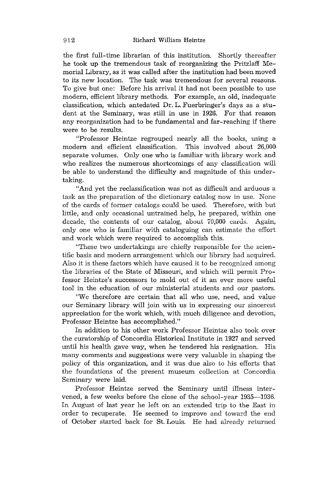the first full-time librarian of this institution. Shortly thereafter he took up the tremendous task of reorganizing the Pritzlaff Memorial Library, as it was called after the institution had been moved to its new location. The task was tremendous for several reasons. To give but one: Before his arrival it had not been possible to use modern, efficient library methods. For example, an old, inadequate classification, which antedated Dr. L. Fuerbringer's days as a student at the Seminary, was still in use in 1926. For that reason any reorganization had to be fundamental and far-reaching if there were to be results.

"Professor Heintze regrouped nearly all the books, using a modern and efficient classification. This involved about 26,000 separate volumes. Only one who is familiar with library work and who realizes the numerous shortcomings of any classification will be able to understand the difficulty and magnitude of this undertaking.

"And yet the reclassification was not as difficult and arduous a task as the preparation of the dictionary catalog now in use. None of the cards of former catalogs could be used. Therefore, with but little, and only occasional untrained help, he prepared, within one decade, the contents of our catalog, about 70,000 cards. Again, only one who is familiar with cataloguing can estimate the effort and work which were required to accomplish this.

"These two undertakings are chiefly responsible for the scientific basis and modern arrangement which our library had acquired. Also it is these factors which have caused it to be recognized among the libraries of the State of Missouri, and which will permit Professor Heintze's successors to mold out of it an ever more useful tool in the education of our ministerial students and our pastors.

"We therefore are certain that all who use, need, and value our Seminary library will join with us in expressing our sincerest appreciation for the work which, with much diligence and devotion, Professor Heintze has accomplished."

In addition to his other work Professor Heintze also took over the curatorship of Concordia Historical Institute in 1927 and served until his health gave way, when he tendered his resignation. His many comments and suggestions were very valuable in shaping the policy of this organization, and it was due also to his efforts that the foundations of the present museum collection at Concordia Seminary were laid.

Professor Heintze served the Seminary until illness intervened, a few weeks before the close of the school-year 1935-1936. In August of last year he left on an extended trip to the East in order to recuperate. He seemed to improve and toward the end of October started back for St. Louis. He had already returned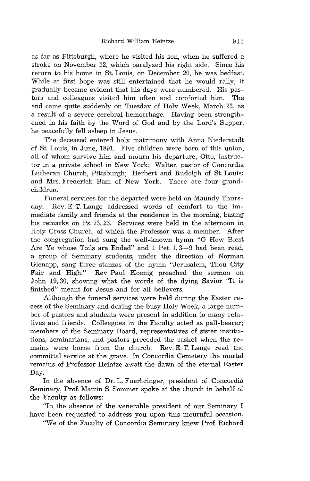as far as Pittsburgh, where he visited his son, when he suffered a stroke on November 12, which paralyzed his right side. Since his return to his home in St. Louis, on December 20, he was bedfast. While at first hope was still entertained that he would rally, it gradually became evident that his days were numbered. His pastors and colleagues visited him often and comforted him. The end came quite suddenly on Tuesday of Holy Week, March 23, as a result of a severe cerebral hemorrhage. Having been strengthened in his faith by the Word of God and by the Lord's Supper, he peacefully fell asleep in Jesus.

The deceased entered holy matrimony with Anna Niederstadt of St. Louis, in June, 1891. Five children were born of this union, all of whom survive him and mourn his departure, Otto, instructor in a private school in New York; Walter, pastor of Concordia Lutheran Church, Pittsburgh; Herbert and Rudolph of St. Louis; and Mrs. Frederick Bam of New York. There are four grandchildren.

Funeral services for the departed were held on Maundy Thursday. Rev. E. T. Lange addressed words of comfort to the immediate family and friends at the residence in the morning, basing his remarks on Ps. 73, 23. Services were held in the afternoon in Holy Cross Church, of which the Professor was a member. After the congregation had sung the well-known hymn "0 How Blest Are Ye whose Toils are Ended" and 1 Pet. 1, 3-9 had been read, a group of Seminary students, under the direction of Norman Gienapp, sang three stanzas of the hymn "Jerusalem, Thou City Fair and High." Rev. Paul Koenig preached the sermon on John 19,30, showing what the words of the dying Savior "It is finished" meant for Jesus and for all believers.

Although the funeral services were held during the Easter recess of the Seminary and during the busy Holy Week, a large number of pastors and students were present in addition to many relatives and friends. Colleagues in the Faculty acted as pall-bearer; members of the Seminary Board, representatives of sister institutions, seminarians, and pastors preceded the casket when the remains were borne from the church. Rev. E. T. Lange read the committal service at the grave. In Concordia Cemetery the mortal remains of Professor Heintze await the dawn of the eternal Easter Day.

In the absence of Dr. L. Fuerbringer, president of Concordia Seminary, Prof. Martin S. Sommer spoke at the church in behalf of the Faculty as follows:

"In the absence of the venerable president of our Seminary I have been requested to address you upon this mournful occasion.

"We of the Faculty of Concordia Seminary knew Prof. Richard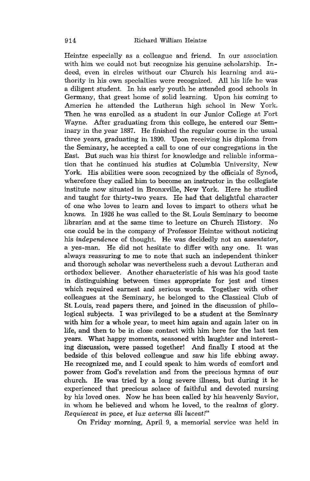Heintze especially as a colleague and friend. In our association with him we could not but recognize his genuine scholarship. Indeed, even in circles without our Church his learning and authority in his own specialties were recognized. All his life he was a diligent student. In his early youth he attended good schools in Germany, that great home of solid learning. Upon his coming to America he attended the Lutheran high school in New York. Then he was enrolled as a student in our Junior College at Fort Wayne. After graduating from this college, he entered our Seminary in the year 1887. He finished the regular course in the usual three years, graduating in 1890. Upon receiving his diploma from the Seminary, he accepted a call to one of our congregations in the East. But such was his thirst for knowledge and reliable information that he continued his studies at Columbia University, New York. His abilities were soon recognized by the officials of Synod, wherefore they called him to become an instructor in the collegiate institute now situated in Bronxville, New York. Here he studied and taught for thirty-two years. He had that delightful character of one who loves to learn and loves to impart to others what he knows. In 1926 he was called to the St. Louis Seminary to become librarian and at the same time to lecture on Church History. No one could be in the company of Professor Heintze without noticing his *independence* of thought. He was decidedly not an *assentator,*  a yes-man. He did not hesitate to differ with anyone. It was always reassuring to me to note that such an independent thinker and thorough scholar was nevertheless such a devout Lutheran and orthodox believer. Another characteristic of his was his good taste in distinguishing between times appropriate for jest and times which required earnest and serious words. Together with other colleagues at the Seminary, he belonged to the Classical Club of St. Louis, read papers there, and joined in the discussion of philological subjects. I was privileged to be a student at the Seminary with him for a whole year, to meet him again and again later on in life, and then to be in close contact with him here for the last ten years. What happy moments, seasoned with laughter and interesting discussion, were passed together! And finally I stood at the bedside of this beloved colleague and saw his life ebbing away. He recognized me, and I could speak to him words of comfort and power from God's revelation and from the precious hymns of our church. He was tried by a long severe illness, but during it he experienced that precious solace of faithful and devoted nursing by his loved ones. Now he has been called by his heavenly Savior, in whom he believed and whom he loved, to the realms of glory. *Requiescat in pace, et lux aeterna illi luceat!"* 

On Friday morning, April 9, a memorial service was held in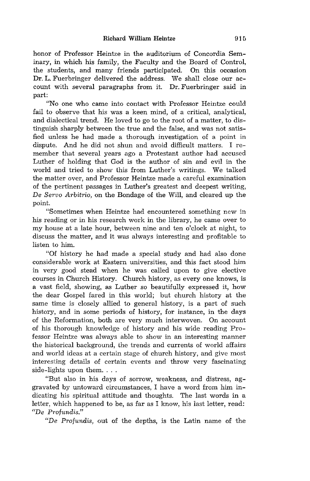honor of Professor Heintze in the auditorium of Concordia Seminary, in which his family, the Faculty and the Board of Control, the students, and many friends participated. On this occasion Dr. L. Fuerbringer delivered the address. We shall close our account with several paragraphs from it. Dr. Fuerbringer said in part:

"No one who came into contact with Professor Heintze could fail to observe that his was a keen mind, of a critical, analytical, and dialectical trend. He loved to go to the root of a matter, to distinguish sharply between the true and the false, and was not satisfied unless he had made a thorough investigation of a point in dispute. And he did not shun and avoid difficult matters. I remember that several years ago a Protestant author had accused Luther of holding that God is the author of sin and evil in the world and tried to show this from Luther's writings. We talked the matter over, and Professor Heintze made a careful examination of the pertinent passages in Luther's greatest and deepest writing, De *Servo Arbitrio,* on the Bondage of the Will, and cleared up the point.

"Sometimes when Heintze had encountered something new in his reading or in his research work in the library, he came over to my house at a late hour, between nine and ten o'clock at night, to discuss the matter, and it was always interesting and profitable to listen to him.

"Of history he had made a special study and had also done considerable work at Eastern universities, and this fact stood him in very good stead when he was called upon to give elective courses in Church History. Church history, as every one knows, is a vast field, showing, as Luther so beautifully expressed it, how the dear Gospel fared in this world; but church history at the same time is closely allied to general history, is a part of such history, and in some periods of history, for instance, in the days of the Reformation, both are very much interwoven. On account of his thorough knowledge of history and his wide reading Professor Heintze was always able to show in an interesting manner the historical background, the trends and currents of world affairs and world ideas at a certain stage of church history, and give most interesting details of certain events and throw very fascinating side-lights upon them. . . .

"But also in his days of sorrow, weakness, and distress, aggravated by untoward circumstances, I have a word from him indicating his spiritual attitude and thoughts. The last words in a letter, which happened to be, as far as I know, his last letter, read: "De *P1·ofundis."* 

"De *Profundis,* out of the depths, is the Latin name of the